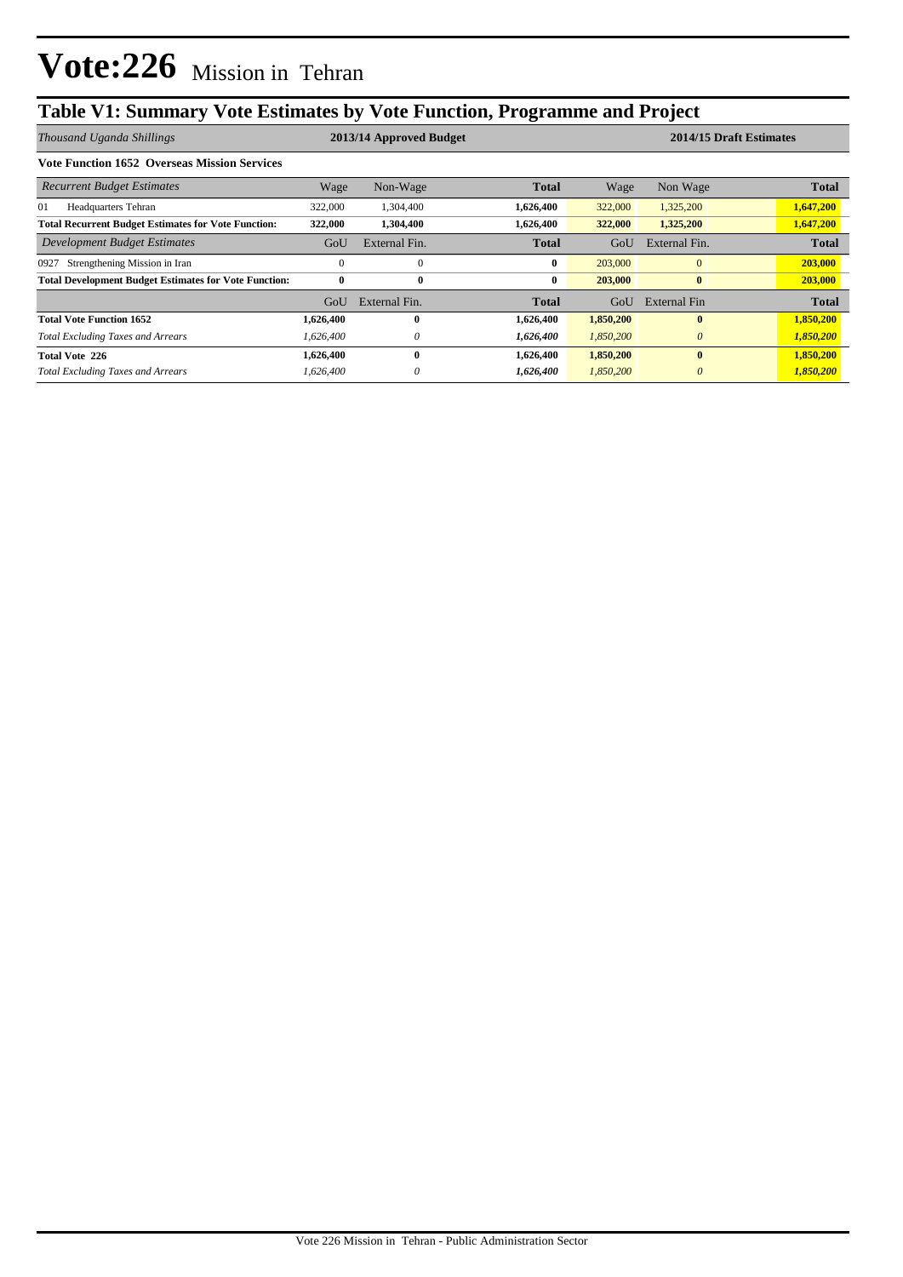# **Table V1: Summary Vote Estimates by Vote Function, Programme and Project**

| Thousand Uganda Shillings                                    |              | 2014/15 Draft Estimates<br>2013/14 Approved Budget |              |           |               |              |
|--------------------------------------------------------------|--------------|----------------------------------------------------|--------------|-----------|---------------|--------------|
| <b>Vote Function 1652 Overseas Mission Services</b>          |              |                                                    |              |           |               |              |
| <b>Recurrent Budget Estimates</b>                            | Wage         | Non-Wage                                           | <b>Total</b> | Wage      | Non Wage      | <b>Total</b> |
| 01<br>Headquarters Tehran                                    | 322,000      | 1,304,400                                          | 1,626,400    | 322,000   | 1,325,200     | 1,647,200    |
| <b>Total Recurrent Budget Estimates for Vote Function:</b>   | 322,000      | 1,304,400                                          | 1,626,400    | 322,000   | 1,325,200     | 1,647,200    |
| Development Budget Estimates                                 | GoU          | External Fin.                                      | <b>Total</b> | GoU       | External Fin. | <b>Total</b> |
| Strengthening Mission in Iran<br>0927                        | $\theta$     | $\mathbf{0}$                                       | $\bf{0}$     | 203,000   | $\mathbf{0}$  | 203,000      |
| <b>Total Development Budget Estimates for Vote Function:</b> | $\mathbf{0}$ | $\bf{0}$                                           | $\bf{0}$     | 203,000   | $\bf{0}$      | 203,000      |
|                                                              | GoU          | External Fin.                                      | <b>Total</b> | GoU       | External Fin  | <b>Total</b> |
| <b>Total Vote Function 1652</b>                              | 1,626,400    | $\mathbf{0}$                                       | 1,626,400    | 1,850,200 | $\mathbf{0}$  | 1,850,200    |
| <b>Total Excluding Taxes and Arrears</b>                     | 1,626,400    | $\theta$                                           | 1,626,400    | 1,850,200 | $\theta$      | 1,850,200    |
| <b>Total Vote 226</b>                                        | 1,626,400    | $\mathbf{0}$                                       | 1,626,400    | 1,850,200 | $\mathbf{0}$  | 1,850,200    |
| <b>Total Excluding Taxes and Arrears</b>                     | 1,626,400    | $\theta$                                           | 1,626,400    | 1,850,200 | $\theta$      | 1,850,200    |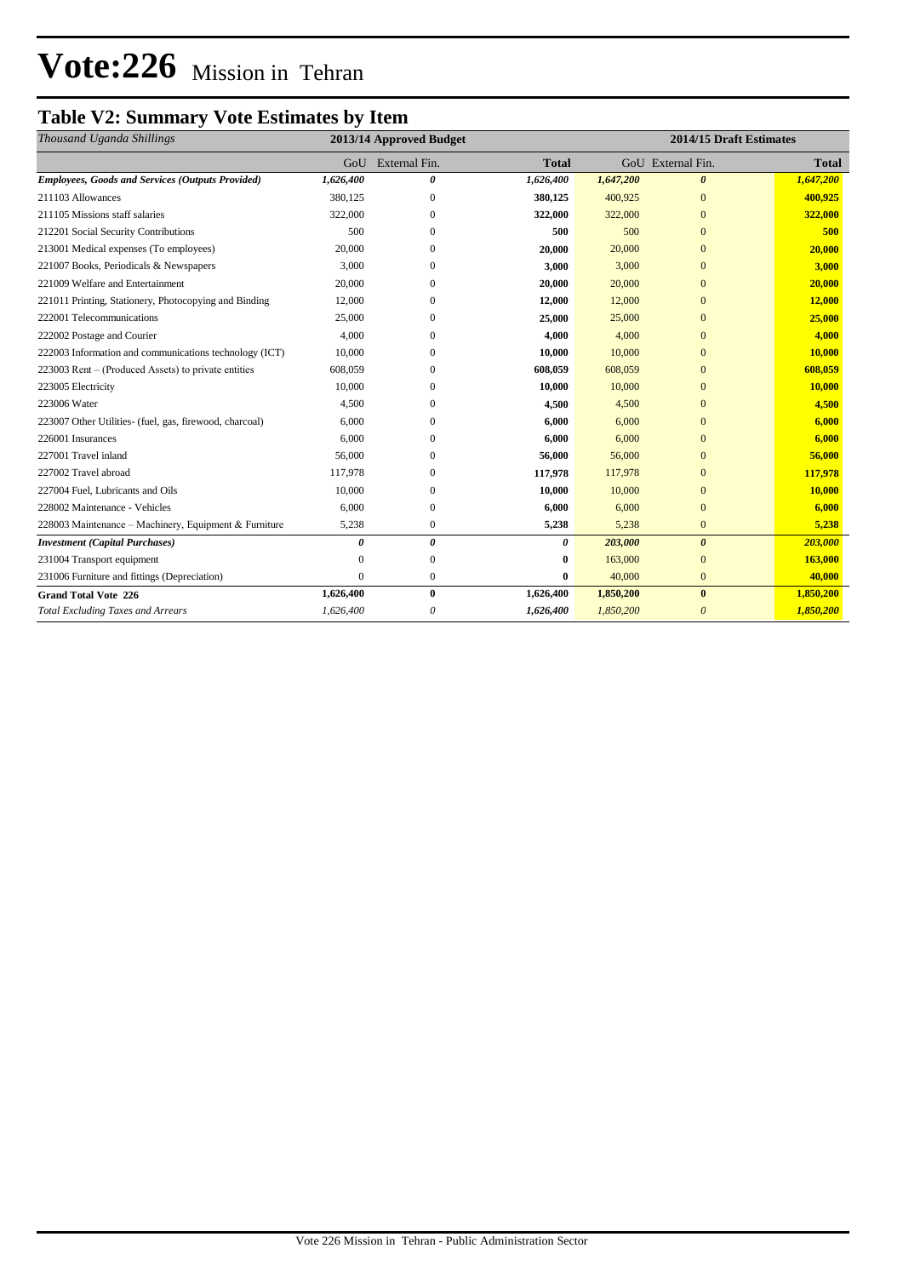# **Vote:226** Mission in Tehran

## **Table V2: Summary Vote Estimates by Item**

| Thousand Uganda Shillings                               | 2013/14 Approved Budget |                   |              | 2014/15 Draft Estimates |                       |              |  |
|---------------------------------------------------------|-------------------------|-------------------|--------------|-------------------------|-----------------------|--------------|--|
|                                                         |                         | GoU External Fin. | <b>Total</b> |                         | GoU External Fin.     | <b>Total</b> |  |
| <b>Employees, Goods and Services (Outputs Provided)</b> | 1,626,400               | 0                 | 1,626,400    | 1,647,200               | $\boldsymbol{\theta}$ | 1,647,200    |  |
| 211103 Allowances                                       | 380,125                 | $\mathbf{0}$      | 380,125      | 400,925                 | $\mathbf{0}$          | 400,925      |  |
| 211105 Missions staff salaries                          | 322,000                 | $\mathbf{0}$      | 322,000      | 322,000                 | $\overline{0}$        | 322,000      |  |
| 212201 Social Security Contributions                    | 500                     | $\mathbf{0}$      | 500          | 500                     | $\overline{0}$        | 500          |  |
| 213001 Medical expenses (To employees)                  | 20,000                  | $\Omega$          | 20,000       | 20,000                  | $\overline{0}$        | 20,000       |  |
| 221007 Books, Periodicals & Newspapers                  | 3,000                   | $\Omega$          | 3,000        | 3,000                   | $\Omega$              | 3,000        |  |
| 221009 Welfare and Entertainment                        | 20,000                  | $\mathbf{0}$      | 20,000       | 20,000                  | $\overline{0}$        | 20,000       |  |
| 221011 Printing, Stationery, Photocopying and Binding   | 12,000                  | $\mathbf{0}$      | 12,000       | 12,000                  | $\overline{0}$        | 12,000       |  |
| 222001 Telecommunications                               | 25,000                  | $\mathbf{0}$      | 25,000       | 25,000                  | $\mathbf{0}$          | 25,000       |  |
| 222002 Postage and Courier                              | 4,000                   | $\Omega$          | 4,000        | 4,000                   | $\overline{0}$        | 4,000        |  |
| 222003 Information and communications technology (ICT)  | 10,000                  | $\Omega$          | 10,000       | 10,000                  | $\Omega$              | 10,000       |  |
| 223003 Rent – (Produced Assets) to private entities     | 608,059                 | $\Omega$          | 608,059      | 608,059                 | $\overline{0}$        | 608,059      |  |
| 223005 Electricity                                      | 10,000                  | $\Omega$          | 10,000       | 10,000                  | $\Omega$              | 10,000       |  |
| 223006 Water                                            | 4,500                   | $\mathbf{0}$      | 4,500        | 4,500                   | $\overline{0}$        | 4,500        |  |
| 223007 Other Utilities- (fuel, gas, firewood, charcoal) | 6,000                   | $\Omega$          | 6,000        | 6,000                   | $\Omega$              | 6,000        |  |
| 226001 Insurances                                       | 6,000                   | $\mathbf{0}$      | 6,000        | 6,000                   | $\Omega$              | 6,000        |  |
| 227001 Travel inland                                    | 56,000                  | $\mathbf{0}$      | 56,000       | 56,000                  | $\Omega$              | 56,000       |  |
| 227002 Travel abroad                                    | 117,978                 | $\Omega$          | 117,978      | 117,978                 | $\Omega$              | 117,978      |  |
| 227004 Fuel, Lubricants and Oils                        | 10,000                  | $\Omega$          | 10,000       | 10,000                  | $\Omega$              | 10,000       |  |
| 228002 Maintenance - Vehicles                           | 6,000                   | $\mathbf{0}$      | 6,000        | 6,000                   | $\mathbf{0}$          | 6,000        |  |
| 228003 Maintenance – Machinery, Equipment & Furniture   | 5,238                   | $\mathbf{0}$      | 5,238        | 5,238                   | $\mathbf{0}$          | 5,238        |  |
| <b>Investment</b> (Capital Purchases)                   | 0                       | 0                 | 0            | 203,000                 | $\boldsymbol{\theta}$ | 203,000      |  |
| 231004 Transport equipment                              | $\Omega$                | $\mathbf{0}$      | 0            | 163,000                 | $\Omega$              | 163,000      |  |
| 231006 Furniture and fittings (Depreciation)            | $\Omega$                | $\mathbf{0}$      | 0            | 40,000                  | $\mathbf{0}$          | 40,000       |  |
| <b>Grand Total Vote 226</b>                             | 1,626,400               | $\bf{0}$          | 1,626,400    | 1,850,200               | $\bf{0}$              | 1,850,200    |  |
| <b>Total Excluding Taxes and Arrears</b>                | 1,626,400               | 0                 | 1,626,400    | 1,850,200               | 0                     | 1,850,200    |  |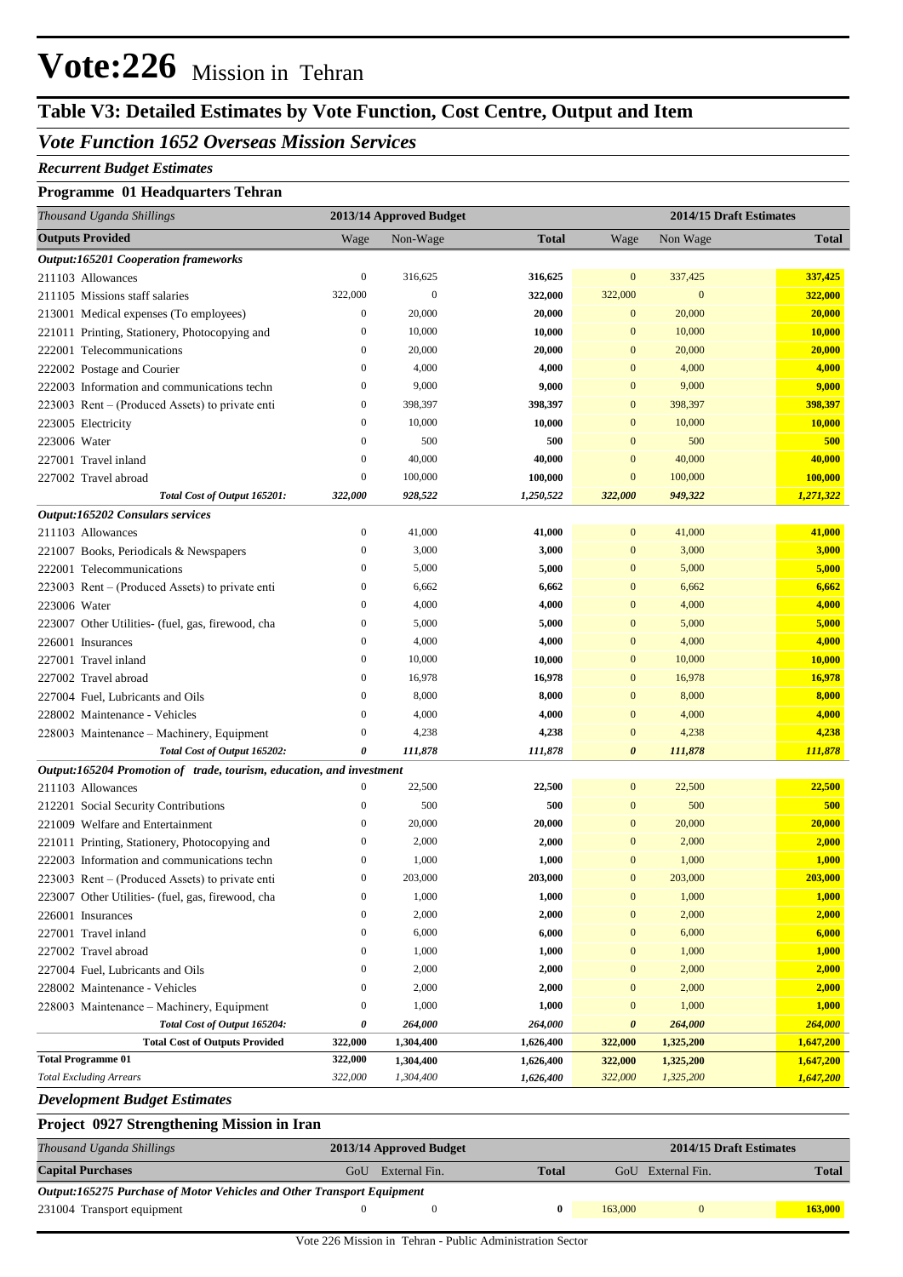# **Vote:226** Mission in Tehran

## **Table V3: Detailed Estimates by Vote Function, Cost Centre, Output and Item**

### *Vote Function 1652 Overseas Mission Services*

#### *Recurrent Budget Estimates*

#### **Programme 01 Headquarters Tehran**

| Thousand Uganda Shillings                                            |                  | 2013/14 Approved Budget |              | 2014/15 Draft Estimates |                  |              |
|----------------------------------------------------------------------|------------------|-------------------------|--------------|-------------------------|------------------|--------------|
| <b>Outputs Provided</b>                                              | Wage             | Non-Wage                | <b>Total</b> | Wage                    | Non Wage         | <b>Total</b> |
| <b>Output:165201 Cooperation frameworks</b>                          |                  |                         |              |                         |                  |              |
| 211103 Allowances                                                    | $\boldsymbol{0}$ | 316,625                 | 316,625      | $\mathbf{0}$            | 337,425          | 337,425      |
| 211105 Missions staff salaries                                       | 322,000          | $\mathbf{0}$            | 322,000      | 322,000                 | $\boldsymbol{0}$ | 322,000      |
| 213001 Medical expenses (To employees)                               | $\boldsymbol{0}$ | 20,000                  | 20,000       | $\mathbf{0}$            | 20,000           | 20,000       |
| 221011 Printing, Stationery, Photocopying and                        | $\boldsymbol{0}$ | 10,000                  | 10,000       | $\boldsymbol{0}$        | 10,000           | 10,000       |
| 222001 Telecommunications                                            | $\boldsymbol{0}$ | 20,000                  | 20,000       | $\mathbf{0}$            | 20,000           | 20,000       |
| 222002 Postage and Courier                                           | $\boldsymbol{0}$ | 4,000                   | 4,000        | $\mathbf{0}$            | 4,000            | 4,000        |
| 222003 Information and communications techn                          | $\boldsymbol{0}$ | 9,000                   | 9,000        | $\mathbf{0}$            | 9,000            | 9,000        |
| 223003 Rent – (Produced Assets) to private enti                      | $\boldsymbol{0}$ | 398,397                 | 398,397      | $\mathbf{0}$            | 398,397          | 398,397      |
| 223005 Electricity                                                   | $\boldsymbol{0}$ | 10,000                  | 10,000       | $\mathbf{0}$            | 10,000           | 10,000       |
| 223006 Water                                                         | $\boldsymbol{0}$ | 500                     | 500          | $\mathbf{0}$            | 500              | 500          |
| 227001 Travel inland                                                 | $\boldsymbol{0}$ | 40,000                  | 40,000       | $\mathbf{0}$            | 40,000           | 40,000       |
| 227002 Travel abroad                                                 | $\boldsymbol{0}$ | 100,000                 | 100,000      | $\mathbf{0}$            | 100,000          | 100,000      |
| Total Cost of Output 165201:                                         | 322,000          | 928,522                 | 1,250,522    | 322,000                 | 949,322          | 1,271,322    |
| Output:165202 Consulars services                                     |                  |                         |              |                         |                  |              |
| 211103 Allowances                                                    | $\boldsymbol{0}$ | 41,000                  | 41,000       | $\boldsymbol{0}$        | 41,000           | 41,000       |
| 221007 Books, Periodicals & Newspapers                               | $\boldsymbol{0}$ | 3,000                   | 3,000        | $\boldsymbol{0}$        | 3,000            | 3,000        |
| 222001 Telecommunications                                            | $\boldsymbol{0}$ | 5,000                   | 5,000        | $\mathbf{0}$            | 5,000            | 5,000        |
| 223003 Rent – (Produced Assets) to private enti                      | $\boldsymbol{0}$ | 6,662                   | 6,662        | $\mathbf{0}$            | 6,662            | 6,662        |
| 223006 Water                                                         | $\boldsymbol{0}$ | 4,000                   | 4,000        | $\mathbf{0}$            | 4,000            | 4,000        |
| 223007 Other Utilities- (fuel, gas, firewood, cha                    | $\boldsymbol{0}$ | 5,000                   | 5,000        | $\mathbf{0}$            | 5,000            | 5,000        |
| 226001 Insurances                                                    | $\boldsymbol{0}$ | 4,000                   | 4,000        | $\mathbf{0}$            | 4,000            | 4,000        |
| 227001 Travel inland                                                 | $\boldsymbol{0}$ | 10,000                  | 10,000       | $\mathbf{0}$            | 10,000           | 10,000       |
| 227002 Travel abroad                                                 | $\boldsymbol{0}$ | 16,978                  | 16,978       | $\mathbf{0}$            | 16,978           | 16,978       |
| 227004 Fuel, Lubricants and Oils                                     | $\boldsymbol{0}$ | 8,000                   | 8,000        | $\mathbf{0}$            | 8,000            | 8,000        |
| 228002 Maintenance - Vehicles                                        | $\boldsymbol{0}$ | 4,000                   | 4,000        | $\mathbf{0}$            | 4,000            | 4,000        |
| 228003 Maintenance – Machinery, Equipment                            | $\boldsymbol{0}$ | 4,238                   | 4,238        | $\mathbf{0}$            | 4,238            | 4,238        |
| Total Cost of Output 165202:                                         | 0                | 111,878                 | 111,878      | $\boldsymbol{\theta}$   | 111,878          | 111,878      |
| Output:165204 Promotion of trade, tourism, education, and investment |                  |                         |              |                         |                  |              |
| 211103 Allowances                                                    | $\boldsymbol{0}$ | 22,500                  | 22,500       | $\boldsymbol{0}$        | 22,500           | 22,500       |
| 212201 Social Security Contributions                                 | $\boldsymbol{0}$ | 500                     | 500          | $\mathbf{0}$            | 500              | 500          |
| 221009 Welfare and Entertainment                                     | $\boldsymbol{0}$ | 20,000                  | 20,000       | $\mathbf{0}$            | 20,000           | 20,000       |
| 221011 Printing, Stationery, Photocopying and                        | $\boldsymbol{0}$ | 2,000                   | 2,000        | $\mathbf{0}$            | 2,000            | 2,000        |
| 222003 Information and communications techn                          | $\boldsymbol{0}$ | 1,000                   | 1,000        | $\mathbf{0}$            | 1,000            | 1,000        |
| 223003 Rent – (Produced Assets) to private enti                      | $\boldsymbol{0}$ | 203,000                 | 203,000      | $\Omega$                | 203,000          | 203,000      |
| 223007 Other Utilities- (fuel, gas, firewood, cha                    | $\boldsymbol{0}$ | 1,000                   | 1,000        | $\boldsymbol{0}$        | 1,000            | <b>1,000</b> |
| 226001 Insurances                                                    | $\boldsymbol{0}$ | 2,000                   | 2,000        | $\boldsymbol{0}$        | 2,000            | 2,000        |
| 227001 Travel inland                                                 | $\boldsymbol{0}$ | 6,000                   | 6,000        | $\boldsymbol{0}$        | 6,000            | 6,000        |
| 227002 Travel abroad                                                 | $\boldsymbol{0}$ | 1,000                   | 1,000        | $\boldsymbol{0}$        | 1,000            | <b>1,000</b> |
| 227004 Fuel, Lubricants and Oils                                     | $\boldsymbol{0}$ | 2,000                   | 2,000        | $\boldsymbol{0}$        | 2,000            | 2,000        |
| 228002 Maintenance - Vehicles                                        | $\boldsymbol{0}$ | 2,000                   | 2,000        | $\boldsymbol{0}$        | 2,000            | 2,000        |
| 228003 Maintenance - Machinery, Equipment                            | $\boldsymbol{0}$ | 1,000                   | 1,000        | $\boldsymbol{0}$        | 1,000            | <b>1,000</b> |
| Total Cost of Output 165204:                                         | 0                | 264,000                 | 264,000      | 0                       | 264,000          | 264,000      |
| <b>Total Cost of Outputs Provided</b>                                | 322,000          | 1,304,400               | 1,626,400    | 322,000                 | 1,325,200        | 1,647,200    |
| <b>Total Programme 01</b>                                            | 322,000          | 1,304,400               | 1,626,400    | 322,000                 | 1,325,200        | 1,647,200    |
| <b>Total Excluding Arrears</b>                                       | 322,000          | 1,304,400               | 1,626,400    | 322,000                 | 1,325,200        | 1,647,200    |
| <b>Development Budget Estimates</b>                                  |                  |                         |              |                         |                  |              |

## **Project 0927 Strengthening Mission in Iran**

| 110                                                                    |     |                         |              |         |                         |              |  |  |
|------------------------------------------------------------------------|-----|-------------------------|--------------|---------|-------------------------|--------------|--|--|
| Thousand Uganda Shillings                                              |     | 2013/14 Approved Budget |              |         | 2014/15 Draft Estimates |              |  |  |
| <b>Capital Purchases</b>                                               | GoU | External Fin.           | <b>Total</b> |         | GoU External Fin.       | <b>Total</b> |  |  |
| Output:165275 Purchase of Motor Vehicles and Other Transport Equipment |     |                         |              |         |                         |              |  |  |
| 231004 Transport equipment                                             |     |                         |              | 163,000 |                         | 163,000      |  |  |